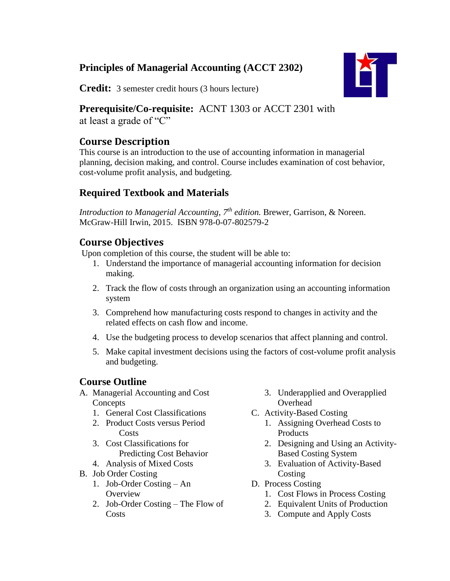## **Principles of Managerial Accounting (ACCT 2302)**



**Credit:** 3 semester credit hours (3 hours lecture)

# **Prerequisite/Co-requisite:** ACNT 1303 or ACCT 2301 with

at least a grade of "C"

## **Course Description**

This course is an introduction to the use of accounting information in managerial planning, decision making, and control. Course includes examination of cost behavior, cost-volume profit analysis, and budgeting.

## **Required Textbook and Materials**

*Introduction to Managerial Accounting, 7<sup>th</sup> edition. Brewer, Garrison, & Noreen.* McGraw-Hill Irwin, 2015. ISBN 978-0-07-802579-2

## **Course Objectives**

Upon completion of this course, the student will be able to:

- 1. Understand the importance of managerial accounting information for decision making.
- 2. Track the flow of costs through an organization using an accounting information system
- 3. Comprehend how manufacturing costs respond to changes in activity and the related effects on cash flow and income.
- 4. Use the budgeting process to develop scenarios that affect planning and control.
- 5. Make capital investment decisions using the factors of cost-volume profit analysis and budgeting.

## **Course Outline**

- A. Managerial Accounting and Cost Concepts
	- 1. General Cost Classifications
	- 2. Product Costs versus Period **Costs**
	- 3. Cost Classifications for Predicting Cost Behavior
	- 4. Analysis of Mixed Costs
- B. Job Order Costing
	- 1. Job-Order Costing An **Overview**
	- 2. Job-Order Costing The Flow of **Costs**
- 3. Underapplied and Overapplied **Overhead**
- C. Activity-Based Costing
	- 1. Assigning Overhead Costs to Products
	- 2. Designing and Using an Activity-Based Costing System
	- 3. Evaluation of Activity-Based **Costing**
- D. Process Costing
	- 1. Cost Flows in Process Costing
	- 2. Equivalent Units of Production
	- 3. Compute and Apply Costs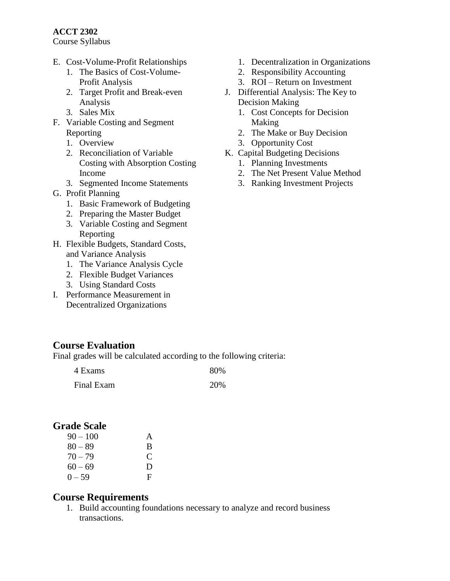#### **ACCT 2302**

Course Syllabus

- E. Cost-Volume-Profit Relationships
	- 1. The Basics of Cost-Volume-Profit Analysis
	- 2. Target Profit and Break-even Analysis
	- 3. Sales Mix
- F. Variable Costing and Segment Reporting
	- 1. Overview
	- 2. Reconciliation of Variable Costing with Absorption Costing Income
	- 3. Segmented Income Statements
- G. Profit Planning
	- 1. Basic Framework of Budgeting
	- 2. Preparing the Master Budget
	- 3. Variable Costing and Segment Reporting
- H. Flexible Budgets, Standard Costs, and Variance Analysis
	- 1. The Variance Analysis Cycle
	- 2. Flexible Budget Variances
	- 3. Using Standard Costs
- I. Performance Measurement in Decentralized Organizations

### **Course Evaluation**

Final grades will be calculated according to the following criteria:

| 4 Exams    | 80% |
|------------|-----|
| Final Exam | 20% |

### **Grade Scale**

| $90 - 100$ | $\mathsf{A}$  |
|------------|---------------|
| $80 - 89$  | B             |
| $70 - 79$  | $\mathcal{C}$ |
| $60 - 69$  | Ð             |
| $0 - 59$   | F             |

#### **Course Requirements**

1. Build accounting foundations necessary to analyze and record business transactions.

- 1. Decentralization in Organizations
- 2. Responsibility Accounting
- 3. ROI Return on Investment
- J. Differential Analysis: The Key to Decision Making
	- 1. Cost Concepts for Decision Making
	- 2. The Make or Buy Decision
	- 3. Opportunity Cost
- K. Capital Budgeting Decisions
	- 1. Planning Investments
	- 2. The Net Present Value Method
	- 3. Ranking Investment Projects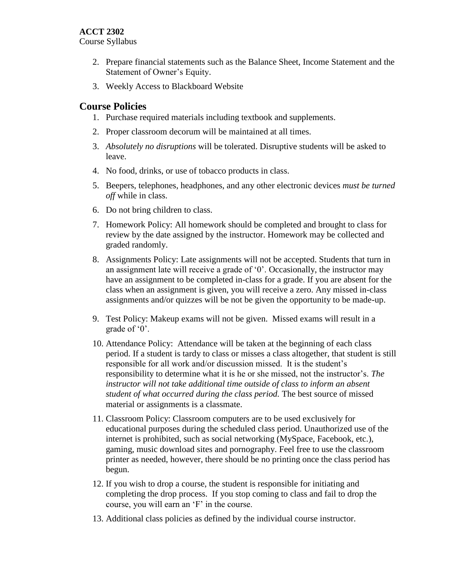#### **ACCT 2302**

Course Syllabus

- 2. Prepare financial statements such as the Balance Sheet, Income Statement and the Statement of Owner's Equity.
- 3. Weekly Access to Blackboard Website

### **Course Policies**

- 1. Purchase required materials including textbook and supplements.
- 2. Proper classroom decorum will be maintained at all times.
- 3. *Absolutely no disruptions* will be tolerated. Disruptive students will be asked to leave.
- 4. No food, drinks, or use of tobacco products in class.
- 5. Beepers, telephones, headphones, and any other electronic devices *must be turned off* while in class.
- 6. Do not bring children to class.
- 7. Homework Policy: All homework should be completed and brought to class for review by the date assigned by the instructor. Homework may be collected and graded randomly.
- 8. Assignments Policy: Late assignments will not be accepted. Students that turn in an assignment late will receive a grade of '0'. Occasionally, the instructor may have an assignment to be completed in-class for a grade. If you are absent for the class when an assignment is given, you will receive a zero. Any missed in-class assignments and/or quizzes will be not be given the opportunity to be made-up.
- 9. Test Policy: Makeup exams will not be given. Missed exams will result in a grade of '0'.
- 10. Attendance Policy: Attendance will be taken at the beginning of each class period. If a student is tardy to class or misses a class altogether, that student is still responsible for all work and/or discussion missed. It is the student's responsibility to determine what it is he or she missed, not the instructor's. *The instructor will not take additional time outside of class to inform an absent student of what occurred during the class period.* The best source of missed material or assignments is a classmate.
- 11. Classroom Policy: Classroom computers are to be used exclusively for educational purposes during the scheduled class period. Unauthorized use of the internet is prohibited, such as social networking (MySpace, Facebook, etc.), gaming, music download sites and pornography. Feel free to use the classroom printer as needed, however, there should be no printing once the class period has begun.
- 12. If you wish to drop a course, the student is responsible for initiating and completing the drop process. If you stop coming to class and fail to drop the course, you will earn an 'F' in the course.
- 13. Additional class policies as defined by the individual course instructor.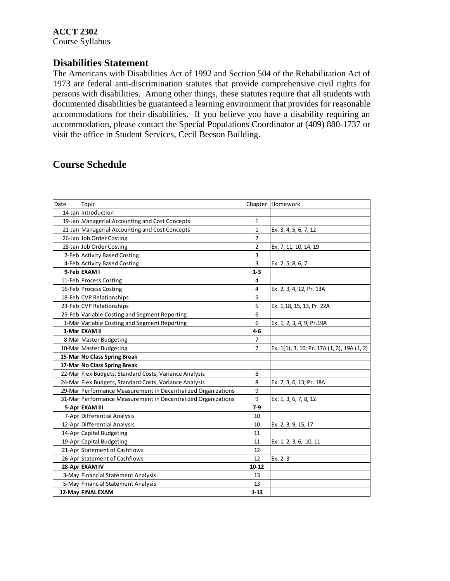#### **Disabilities Statement**

The Americans with Disabilities Act of 1992 and Section 504 of the Rehabilitation Act of 1973 are federal anti-discrimination statutes that provide comprehensive civil rights for persons with disabilities. Among other things, these statutes require that all students with documented disabilities be guaranteed a learning environment that provides for reasonable accommodations for their disabilities. If you believe you have a disability requiring an accommodation, please contact the Special Populations Coordinator at (409) 880-1737 or visit the office in Student Services, Cecil Beeson Building.

### **Course Schedule**

| Date | Topic                                                         |                | Chapter Homework                            |
|------|---------------------------------------------------------------|----------------|---------------------------------------------|
|      | 14-Jan Introduction                                           |                |                                             |
|      | 19-Jan Managerial Accounting and Cost Concepts                | $\mathbf{1}$   |                                             |
|      | 21-Jan Managerial Accounting and Cost Concepts                | 1              | Ex. 3, 4, 5, 6, 7, 12                       |
|      | 26-Jan Job Order Costing                                      | $\overline{2}$ |                                             |
|      | 28-Jan Job Order Costing                                      | $\overline{2}$ | Ex. 7, 11, 10, 14, 19                       |
|      | 2-Feb Activity Based Costing                                  | 3              |                                             |
|      | 4-Feb Activity Based Costing                                  | 3              | Ex. 2, 5, 8, 6, 7                           |
|      | 9-FeblEXAM I                                                  | $1 - 3$        |                                             |
|      | 11-Feb Process Costing                                        | 4              |                                             |
|      | 16-Feb Process Costing                                        | 4              | Ex. 2, 3, 4, 12, Pr. 13A                    |
|      | 18-Feb CVP Relationships                                      | 5              |                                             |
|      | 23-Feb CVP Relationships                                      | 5              | Ex. 1,18, 15, 13, Pr. 22A                   |
|      | 25-Feb Variable Costing and Segment Reporting                 | 6              |                                             |
|      | 1-Mar Variable Costing and Segment Reporting                  | 6              | Ex. 1, 2, 3, 4, 9; Pr.19A                   |
|      | 3-Mar EXAM II                                                 | $4 - 6$        |                                             |
|      | 8-Mar Master Budgeting                                        | $\overline{7}$ |                                             |
|      | 10-Mar Master Budgeting                                       | $\overline{7}$ | Ex. 1(1), 3, 10; Pr. 17A (1, 2), 19A (1, 2) |
|      | 15-Mar No Class Spring Break                                  |                |                                             |
|      | 17-Mar No Class Spring Break                                  |                |                                             |
|      | 22-Mar Flex Budgets, Standard Costs, Variance Analysis        | 8              |                                             |
|      | 24-Mar Flex Budgets, Standard Costs, Variance Analysis        | 8              | Ex. 2, 3, 6, 13; Pr. 18A                    |
|      | 29-Mar Performance Measurement in Decentralized Organizations | 9              |                                             |
|      | 31-Mar Performance Measurement in Decentralized Organizations | 9              | Ex. 1, 3, 6, 7, 8, 12                       |
|      | 5-Apr EXAM III                                                | $7-9$          |                                             |
|      | 7-Apr Differential Analysis                                   | 10             |                                             |
|      | 12-Apr Differential Analysis                                  | 10             | Ex. 2, 3, 9, 15, 17                         |
|      | 14-Apr Capital Budgeting                                      | 11             |                                             |
|      | 19-Apr Capital Budgeting                                      | 11             | Ex. 1, 2, 3, 6, 10, 11                      |
|      | 21-Apr Statement of Cashflows                                 | 12             |                                             |
|      | 26-Apr Statement of Cashflows                                 | 12             | Ex. 2, 3                                    |
|      | 28-Apr EXAM IV                                                | $10 - 12$      |                                             |
|      | 3-May Financial Statement Analysis                            | 13             |                                             |
|      | 5-May Financial Statement Analysis                            | 13             |                                             |
|      | 12-May FINAL EXAM                                             | $1 - 13$       |                                             |